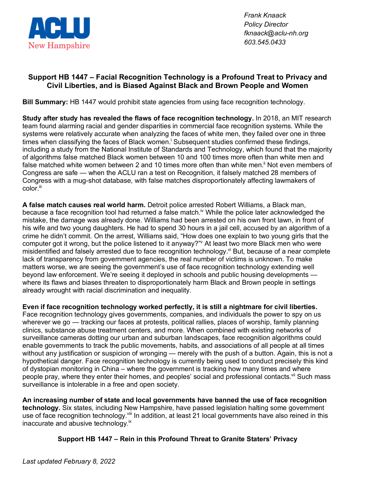

*Frank Knaack Policy Director fknaack@aclu-nh.org 603.545.0433*

## **Support HB 1447 – Facial Recognition Technology is a Profound Treat to Privacy and Civil Liberties, and is Biased Against Black and Brown People and Women**

**Bill Summary:** HB 1447 would prohibit state agencies from using face recognition technology.

**Study after study has revealed the flaws of face recognition technology.** In 2018, an MIT research team found alarming racial and gender disparities in commercial face recognition systems. While the systems were relatively accurate when analyzing the faces of white men, they failed over one in three times when classifying the faces of Black women.<sup>i</sup> Subsequent studies confirmed these findings, including a study from the National Institute of Standards and Technology, which found that the majority of algorithms false matched Black women between 10 and 100 times more often than white men and false matched white women between 2 and 10 times more often than white men.<sup>ii</sup> Not even members of Congress are safe — when the ACLU ran a test on Recognition, it falsely matched 28 members of Congress with a mug-shot database, with false matches disproportionately affecting lawmakers of color.<sup>iii</sup>

**A false match causes real world harm.** Detroit police arrested Robert Williams, a Black man, because a face recognition tool had returned a false match.<sup>iv</sup> While the police later acknowledged the mistake, the damage was already done. Williams had been arrested on his own front lawn, in front of his wife and two young daughters. He had to spend 30 hours in a jail cell, accused by an algorithm of a crime he didn't commit. On the arrest, Williams said, "How does one explain to two young girls that the computer got it wrong, but the police listened to it anyway?" At least two more Black men who were misidentified and falsely arrested due to face recognition technology.<sup>vi</sup> But, because of a near complete lack of transparency from government agencies, the real number of victims is unknown. To make matters worse, we are seeing the government's use of face recognition technology extending well beyond law enforcement. We're seeing it deployed in schools and public housing developments where its flaws and biases threaten to disproportionately harm Black and Brown people in settings already wrought with racial discrimination and inequality.

**Even if face recognition technology worked perfectly, it is still a nightmare for civil liberties.**  Face recognition technology gives governments, companies, and individuals the power to spy on us wherever we go — tracking our faces at protests, political rallies, places of worship, family planning clinics, substance abuse treatment centers, and more. When combined with existing networks of surveillance cameras dotting our urban and suburban landscapes, face recognition algorithms could enable governments to track the public movements, habits, and associations of all people at all times without any justification or suspicion of wronging — merely with the push of a button. Again, this is not a hypothetical danger. Face recognition technology is currently being used to conduct precisely this kind of dystopian monitoring in China – where the government is tracking how many times and where people pray, where they enter their homes, and peoples' social and professional contacts.<sup>vii</sup> Such mass surveillance is intolerable in a free and open society.

**An increasing number of state and local governments have banned the use of face recognition technology.** Six states, including New Hampshire, have passed legislation halting some government use of face recognition technology. Vill In addition, at least 21 local governments have also reined in this inaccurate and abusive technology.<sup>ix</sup>

## **Support HB 1447 – Rein in this Profound Threat to Granite Staters' Privacy**